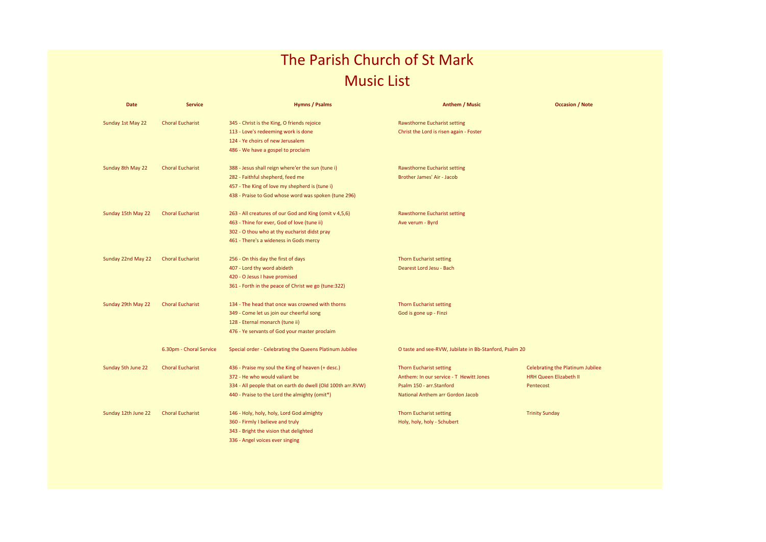## The Parish Church of St Mark Music List

| <b>Date</b>         | <b>Service</b>          | <b>Hymns / Psalms</b>                                       | <b>Anthem / Music</b>                                  | <b>Occasion / Note</b>                  |
|---------------------|-------------------------|-------------------------------------------------------------|--------------------------------------------------------|-----------------------------------------|
| Sunday 1st May 22   | <b>Choral Eucharist</b> | 345 - Christ is the King, O friends rejoice                 | <b>Rawsthorne Eucharist setting</b>                    |                                         |
|                     |                         | 113 - Love's redeeming work is done                         | Christ the Lord is risen again - Foster                |                                         |
|                     |                         | 124 - Ye choirs of new Jerusalem                            |                                                        |                                         |
|                     |                         | 486 - We have a gospel to proclaim                          |                                                        |                                         |
| Sunday 8th May 22   | <b>Choral Eucharist</b> | 388 - Jesus shall reign where'er the sun (tune i)           | <b>Rawsthorne Eucharist setting</b>                    |                                         |
|                     |                         | 282 - Faithful shepherd, feed me                            | Brother James' Air - Jacob                             |                                         |
|                     |                         | 457 - The King of love my shepherd is (tune i)              |                                                        |                                         |
|                     |                         | 438 - Praise to God whose word was spoken (tune 296)        |                                                        |                                         |
| Sunday 15th May 22  | <b>Choral Eucharist</b> | 263 - All creatures of our God and King (omit v 4,5,6)      | <b>Rawsthorne Eucharist setting</b>                    |                                         |
|                     |                         | 463 - Thine for ever, God of love (tune ii)                 | Ave verum - Byrd                                       |                                         |
|                     |                         | 302 - O thou who at thy eucharist didst pray                |                                                        |                                         |
|                     |                         | 461 - There's a wideness in Gods mercy                      |                                                        |                                         |
| Sunday 22nd May 22  | <b>Choral Eucharist</b> | 256 - On this day the first of days                         | <b>Thorn Eucharist setting</b>                         |                                         |
|                     |                         | 407 - Lord thy word abideth                                 | Dearest Lord Jesu - Bach                               |                                         |
|                     |                         | 420 - O Jesus I have promised                               |                                                        |                                         |
|                     |                         | 361 - Forth in the peace of Christ we go (tune:322)         |                                                        |                                         |
| Sunday 29th May 22  | <b>Choral Eucharist</b> | 134 - The head that once was crowned with thorns            | <b>Thorn Eucharist setting</b>                         |                                         |
|                     |                         | 349 - Come let us join our cheerful song                    | God is gone up - Finzi                                 |                                         |
|                     |                         | 128 - Eternal monarch (tune ii)                             |                                                        |                                         |
|                     |                         | 476 - Ye servants of God your master proclaim               |                                                        |                                         |
|                     | 6.30pm - Choral Service | Special order - Celebrating the Queens Platinum Jubilee     | O taste and see-RVW, Jubilate in Bb-Stanford, Psalm 20 |                                         |
| Sunday 5th June 22  | <b>Choral Eucharist</b> | 436 - Praise my soul the King of heaven (+ desc.)           | <b>Thorn Eucharist setting</b>                         | <b>Celebrating the Platinum Jubilee</b> |
|                     |                         | 372 - He who would valiant be                               | Anthem: In our service - T Hewitt Jones                | <b>HRH Queen Elizabeth II</b>           |
|                     |                         | 334 - All people that on earth do dwell (Old 100th arr.RVW) | Psalm 150 - arr.Stanford                               | Pentecost                               |
|                     |                         | 440 - Praise to the Lord the almighty (omit*)               | National Anthem arr Gordon Jacob                       |                                         |
| Sunday 12th June 22 | <b>Choral Eucharist</b> | 146 - Holy, holy, holy, Lord God almighty                   | <b>Thorn Eucharist setting</b>                         | <b>Trinity Sunday</b>                   |
|                     |                         | 360 - Firmly I believe and truly                            | Holy, holy, holy - Schubert                            |                                         |
|                     |                         | 343 - Bright the vision that delighted                      |                                                        |                                         |
|                     |                         | 336 - Angel voices ever singing                             |                                                        |                                         |